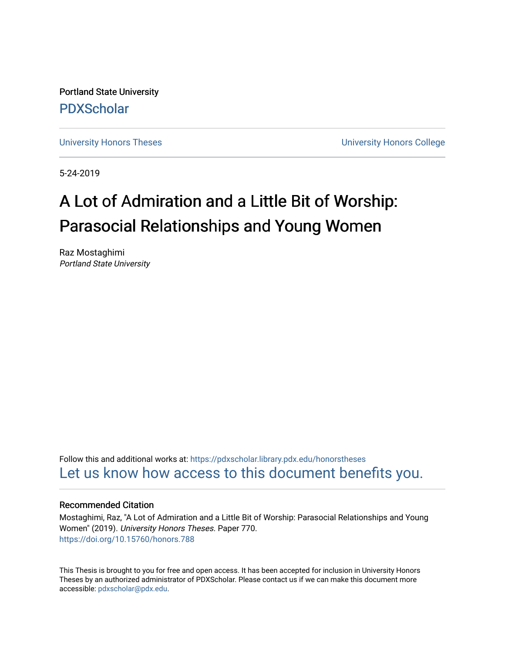Portland State University [PDXScholar](https://pdxscholar.library.pdx.edu/)

[University Honors Theses](https://pdxscholar.library.pdx.edu/honorstheses) [University Honors College](https://pdxscholar.library.pdx.edu/honors) 

5-24-2019

# A Lot of Admiration and a Little Bit of Worship: Parasocial Relationships and Young Women

Raz Mostaghimi Portland State University

Follow this and additional works at: [https://pdxscholar.library.pdx.edu/honorstheses](https://pdxscholar.library.pdx.edu/honorstheses?utm_source=pdxscholar.library.pdx.edu%2Fhonorstheses%2F770&utm_medium=PDF&utm_campaign=PDFCoverPages)  [Let us know how access to this document benefits you.](http://library.pdx.edu/services/pdxscholar-services/pdxscholar-feedback/) 

#### Recommended Citation

Mostaghimi, Raz, "A Lot of Admiration and a Little Bit of Worship: Parasocial Relationships and Young Women" (2019). University Honors Theses. Paper 770. <https://doi.org/10.15760/honors.788>

This Thesis is brought to you for free and open access. It has been accepted for inclusion in University Honors Theses by an authorized administrator of PDXScholar. Please contact us if we can make this document more accessible: [pdxscholar@pdx.edu.](mailto:pdxscholar@pdx.edu)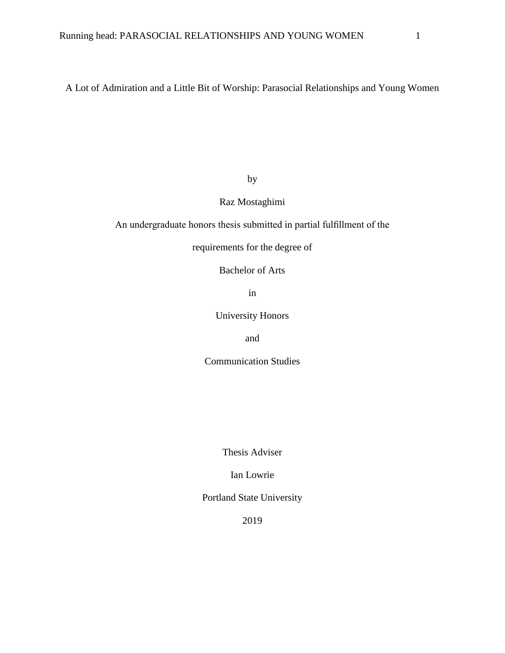A Lot of Admiration and a Little Bit of Worship: Parasocial Relationships and Young Women

by

### Raz Mostaghimi

An undergraduate honors thesis submitted in partial fulfillment of the

requirements for the degree of

Bachelor of Arts

in

University Honors

and

Communication Studies

Thesis Adviser

Ian Lowrie

Portland State University

2019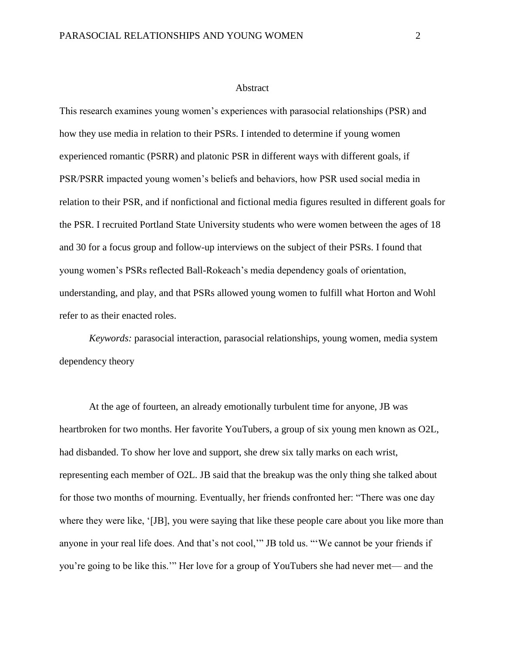#### Abstract

This research examines young women's experiences with parasocial relationships (PSR) and how they use media in relation to their PSRs. I intended to determine if young women experienced romantic (PSRR) and platonic PSR in different ways with different goals, if PSR/PSRR impacted young women's beliefs and behaviors, how PSR used social media in relation to their PSR, and if nonfictional and fictional media figures resulted in different goals for the PSR. I recruited Portland State University students who were women between the ages of 18 and 30 for a focus group and follow-up interviews on the subject of their PSRs. I found that young women's PSRs reflected Ball-Rokeach's media dependency goals of orientation, understanding, and play, and that PSRs allowed young women to fulfill what Horton and Wohl refer to as their enacted roles.

*Keywords:* parasocial interaction, parasocial relationships, young women, media system dependency theory

At the age of fourteen, an already emotionally turbulent time for anyone, JB was heartbroken for two months. Her favorite YouTubers, a group of six young men known as O2L, had disbanded. To show her love and support, she drew six tally marks on each wrist, representing each member of O2L. JB said that the breakup was the only thing she talked about for those two months of mourning. Eventually, her friends confronted her: "There was one day where they were like, '[JB], you were saying that like these people care about you like more than anyone in your real life does. And that's not cool,'" JB told us. "'We cannot be your friends if you're going to be like this.'" Her love for a group of YouTubers she had never met— and the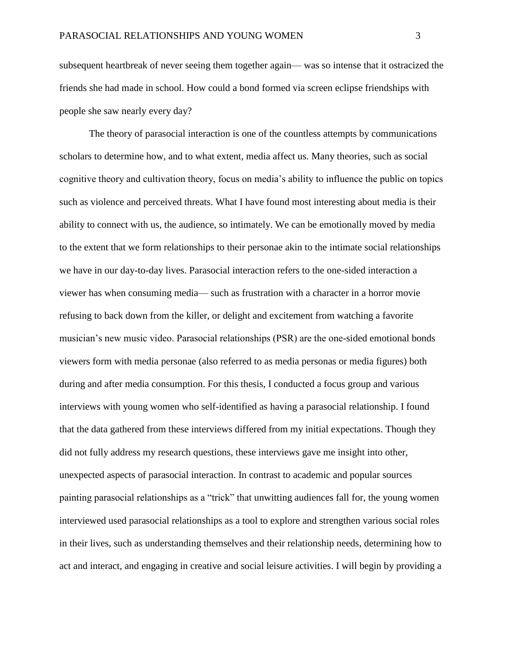subsequent heartbreak of never seeing them together again— was so intense that it ostracized the friends she had made in school. How could a bond formed via screen eclipse friendships with people she saw nearly every day?

The theory of parasocial interaction is one of the countless attempts by communications scholars to determine how, and to what extent, media affect us. Many theories, such as social cognitive theory and cultivation theory, focus on media's ability to influence the public on topics such as violence and perceived threats. What I have found most interesting about media is their ability to connect with us, the audience, so intimately. We can be emotionally moved by media to the extent that we form relationships to their personae akin to the intimate social relationships we have in our day-to-day lives. Parasocial interaction refers to the one-sided interaction a viewer has when consuming media— such as frustration with a character in a horror movie refusing to back down from the killer, or delight and excitement from watching a favorite musician's new music video. Parasocial relationships (PSR) are the one-sided emotional bonds viewers form with media personae (also referred to as media personas or media figures) both during and after media consumption. For this thesis, I conducted a focus group and various interviews with young women who self-identified as having a parasocial relationship. I found that the data gathered from these interviews differed from my initial expectations. Though they did not fully address my research questions, these interviews gave me insight into other, unexpected aspects of parasocial interaction. In contrast to academic and popular sources painting parasocial relationships as a "trick" that unwitting audiences fall for, the young women interviewed used parasocial relationships as a tool to explore and strengthen various social roles in their lives, such as understanding themselves and their relationship needs, determining how to act and interact, and engaging in creative and social leisure activities. I will begin by providing a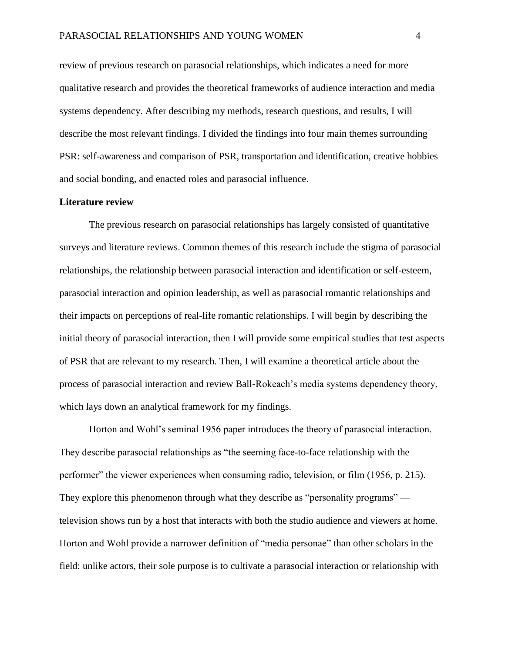review of previous research on parasocial relationships, which indicates a need for more qualitative research and provides the theoretical frameworks of audience interaction and media systems dependency. After describing my methods, research questions, and results, I will describe the most relevant findings. I divided the findings into four main themes surrounding PSR: self-awareness and comparison of PSR, transportation and identification, creative hobbies and social bonding, and enacted roles and parasocial influence.

#### **Literature review**

The previous research on parasocial relationships has largely consisted of quantitative surveys and literature reviews. Common themes of this research include the stigma of parasocial relationships, the relationship between parasocial interaction and identification or self-esteem, parasocial interaction and opinion leadership, as well as parasocial romantic relationships and their impacts on perceptions of real-life romantic relationships. I will begin by describing the initial theory of parasocial interaction, then I will provide some empirical studies that test aspects of PSR that are relevant to my research. Then, I will examine a theoretical article about the process of parasocial interaction and review Ball-Rokeach's media systems dependency theory, which lays down an analytical framework for my findings.

Horton and Wohl's seminal 1956 paper introduces the theory of parasocial interaction. They describe parasocial relationships as "the seeming face-to-face relationship with the performer" the viewer experiences when consuming radio, television, or film (1956, p. 215). They explore this phenomenon through what they describe as "personality programs" television shows run by a host that interacts with both the studio audience and viewers at home. Horton and Wohl provide a narrower definition of "media personae" than other scholars in the field: unlike actors, their sole purpose is to cultivate a parasocial interaction or relationship with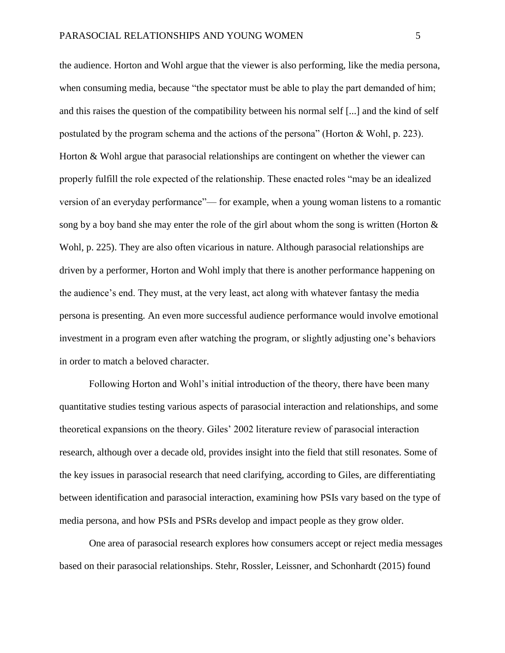the audience. Horton and Wohl argue that the viewer is also performing, like the media persona, when consuming media, because "the spectator must be able to play the part demanded of him; and this raises the question of the compatibility between his normal self [...] and the kind of self postulated by the program schema and the actions of the persona" (Horton & Wohl, p. 223). Horton & Wohl argue that parasocial relationships are contingent on whether the viewer can properly fulfill the role expected of the relationship. These enacted roles "may be an idealized version of an everyday performance"— for example, when a young woman listens to a romantic song by a boy band she may enter the role of the girl about whom the song is written (Horton  $\&$ Wohl, p. 225). They are also often vicarious in nature. Although parasocial relationships are driven by a performer, Horton and Wohl imply that there is another performance happening on the audience's end. They must, at the very least, act along with whatever fantasy the media persona is presenting. An even more successful audience performance would involve emotional investment in a program even after watching the program, or slightly adjusting one's behaviors in order to match a beloved character.

Following Horton and Wohl's initial introduction of the theory, there have been many quantitative studies testing various aspects of parasocial interaction and relationships, and some theoretical expansions on the theory. Giles' 2002 literature review of parasocial interaction research, although over a decade old, provides insight into the field that still resonates. Some of the key issues in parasocial research that need clarifying, according to Giles, are differentiating between identification and parasocial interaction, examining how PSIs vary based on the type of media persona, and how PSIs and PSRs develop and impact people as they grow older.

One area of parasocial research explores how consumers accept or reject media messages based on their parasocial relationships. Stehr, Rossler, Leissner, and Schonhardt (2015) found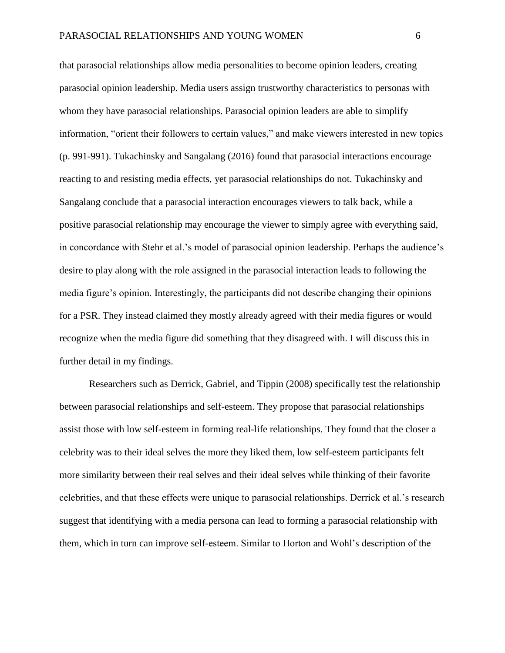that parasocial relationships allow media personalities to become opinion leaders, creating parasocial opinion leadership. Media users assign trustworthy characteristics to personas with whom they have parasocial relationships. Parasocial opinion leaders are able to simplify information, "orient their followers to certain values," and make viewers interested in new topics (p. 991-991). Tukachinsky and Sangalang (2016) found that parasocial interactions encourage reacting to and resisting media effects, yet parasocial relationships do not. Tukachinsky and Sangalang conclude that a parasocial interaction encourages viewers to talk back, while a positive parasocial relationship may encourage the viewer to simply agree with everything said, in concordance with Stehr et al.'s model of parasocial opinion leadership. Perhaps the audience's desire to play along with the role assigned in the parasocial interaction leads to following the media figure's opinion. Interestingly, the participants did not describe changing their opinions for a PSR. They instead claimed they mostly already agreed with their media figures or would recognize when the media figure did something that they disagreed with. I will discuss this in further detail in my findings.

Researchers such as Derrick, Gabriel, and Tippin (2008) specifically test the relationship between parasocial relationships and self-esteem. They propose that parasocial relationships assist those with low self-esteem in forming real-life relationships. They found that the closer a celebrity was to their ideal selves the more they liked them, low self-esteem participants felt more similarity between their real selves and their ideal selves while thinking of their favorite celebrities, and that these effects were unique to parasocial relationships. Derrick et al.'s research suggest that identifying with a media persona can lead to forming a parasocial relationship with them, which in turn can improve self-esteem. Similar to Horton and Wohl's description of the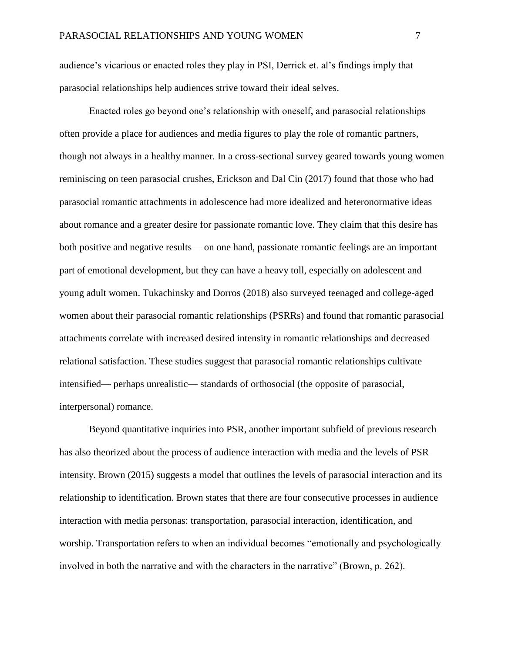audience's vicarious or enacted roles they play in PSI, Derrick et. al's findings imply that parasocial relationships help audiences strive toward their ideal selves.

Enacted roles go beyond one's relationship with oneself, and parasocial relationships often provide a place for audiences and media figures to play the role of romantic partners, though not always in a healthy manner. In a cross-sectional survey geared towards young women reminiscing on teen parasocial crushes, Erickson and Dal Cin (2017) found that those who had parasocial romantic attachments in adolescence had more idealized and heteronormative ideas about romance and a greater desire for passionate romantic love. They claim that this desire has both positive and negative results— on one hand, passionate romantic feelings are an important part of emotional development, but they can have a heavy toll, especially on adolescent and young adult women. Tukachinsky and Dorros (2018) also surveyed teenaged and college-aged women about their parasocial romantic relationships (PSRRs) and found that romantic parasocial attachments correlate with increased desired intensity in romantic relationships and decreased relational satisfaction. These studies suggest that parasocial romantic relationships cultivate intensified— perhaps unrealistic— standards of orthosocial (the opposite of parasocial, interpersonal) romance.

Beyond quantitative inquiries into PSR, another important subfield of previous research has also theorized about the process of audience interaction with media and the levels of PSR intensity. Brown (2015) suggests a model that outlines the levels of parasocial interaction and its relationship to identification. Brown states that there are four consecutive processes in audience interaction with media personas: transportation, parasocial interaction, identification, and worship. Transportation refers to when an individual becomes "emotionally and psychologically involved in both the narrative and with the characters in the narrative" (Brown, p. 262).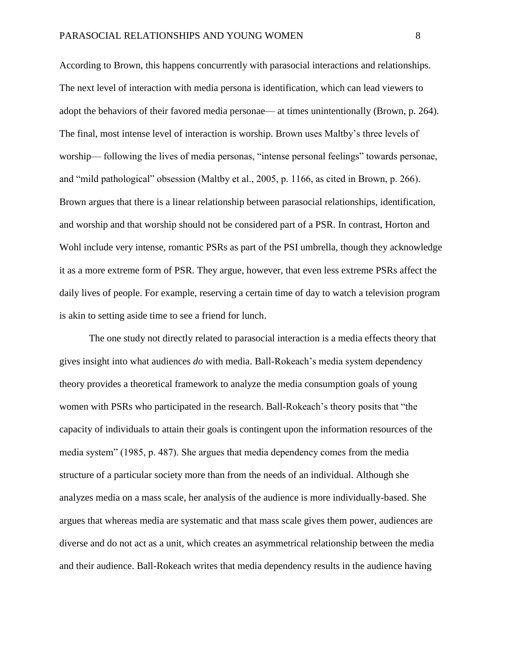According to Brown, this happens concurrently with parasocial interactions and relationships. The next level of interaction with media persona is identification, which can lead viewers to adopt the behaviors of their favored media personae— at times unintentionally (Brown, p. 264). The final, most intense level of interaction is worship. Brown uses Maltby's three levels of worship— following the lives of media personas, "intense personal feelings" towards personae, and "mild pathological" obsession (Maltby et al., 2005, p. 1166, as cited in Brown, p. 266). Brown argues that there is a linear relationship between parasocial relationships, identification, and worship and that worship should not be considered part of a PSR. In contrast, Horton and Wohl include very intense, romantic PSRs as part of the PSI umbrella, though they acknowledge it as a more extreme form of PSR. They argue, however, that even less extreme PSRs affect the daily lives of people. For example, reserving a certain time of day to watch a television program is akin to setting aside time to see a friend for lunch.

The one study not directly related to parasocial interaction is a media effects theory that gives insight into what audiences *do* with media. Ball-Rokeach's media system dependency theory provides a theoretical framework to analyze the media consumption goals of young women with PSRs who participated in the research. Ball-Rokeach's theory posits that "the capacity of individuals to attain their goals is contingent upon the information resources of the media system" (1985, p. 487). She argues that media dependency comes from the media structure of a particular society more than from the needs of an individual. Although she analyzes media on a mass scale, her analysis of the audience is more individually-based. She argues that whereas media are systematic and that mass scale gives them power, audiences are diverse and do not act as a unit, which creates an asymmetrical relationship between the media and their audience. Ball-Rokeach writes that media dependency results in the audience having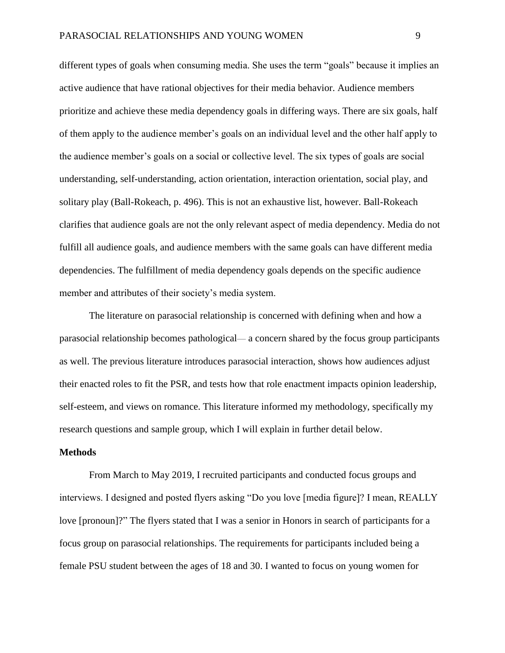different types of goals when consuming media. She uses the term "goals" because it implies an active audience that have rational objectives for their media behavior. Audience members prioritize and achieve these media dependency goals in differing ways. There are six goals, half of them apply to the audience member's goals on an individual level and the other half apply to the audience member's goals on a social or collective level. The six types of goals are social understanding, self-understanding, action orientation, interaction orientation, social play, and solitary play (Ball-Rokeach, p. 496). This is not an exhaustive list, however. Ball-Rokeach clarifies that audience goals are not the only relevant aspect of media dependency. Media do not fulfill all audience goals, and audience members with the same goals can have different media dependencies. The fulfillment of media dependency goals depends on the specific audience member and attributes of their society's media system.

The literature on parasocial relationship is concerned with defining when and how a parasocial relationship becomes pathological— a concern shared by the focus group participants as well. The previous literature introduces parasocial interaction, shows how audiences adjust their enacted roles to fit the PSR, and tests how that role enactment impacts opinion leadership, self-esteem, and views on romance. This literature informed my methodology, specifically my research questions and sample group, which I will explain in further detail below.

#### **Methods**

From March to May 2019, I recruited participants and conducted focus groups and interviews. I designed and posted flyers asking "Do you love [media figure]? I mean, REALLY love [pronoun]?" The flyers stated that I was a senior in Honors in search of participants for a focus group on parasocial relationships. The requirements for participants included being a female PSU student between the ages of 18 and 30. I wanted to focus on young women for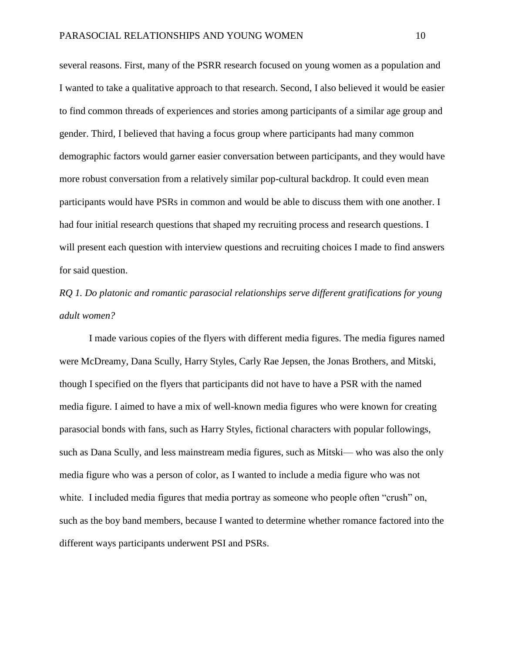several reasons. First, many of the PSRR research focused on young women as a population and I wanted to take a qualitative approach to that research. Second, I also believed it would be easier to find common threads of experiences and stories among participants of a similar age group and gender. Third, I believed that having a focus group where participants had many common demographic factors would garner easier conversation between participants, and they would have more robust conversation from a relatively similar pop-cultural backdrop. It could even mean participants would have PSRs in common and would be able to discuss them with one another. I had four initial research questions that shaped my recruiting process and research questions. I will present each question with interview questions and recruiting choices I made to find answers for said question.

*RQ 1. Do platonic and romantic parasocial relationships serve different gratifications for young adult women?*

I made various copies of the flyers with different media figures. The media figures named were McDreamy, Dana Scully, Harry Styles, Carly Rae Jepsen, the Jonas Brothers, and Mitski, though I specified on the flyers that participants did not have to have a PSR with the named media figure. I aimed to have a mix of well-known media figures who were known for creating parasocial bonds with fans, such as Harry Styles, fictional characters with popular followings, such as Dana Scully, and less mainstream media figures, such as Mitski— who was also the only media figure who was a person of color, as I wanted to include a media figure who was not white. I included media figures that media portray as someone who people often "crush" on, such as the boy band members, because I wanted to determine whether romance factored into the different ways participants underwent PSI and PSRs.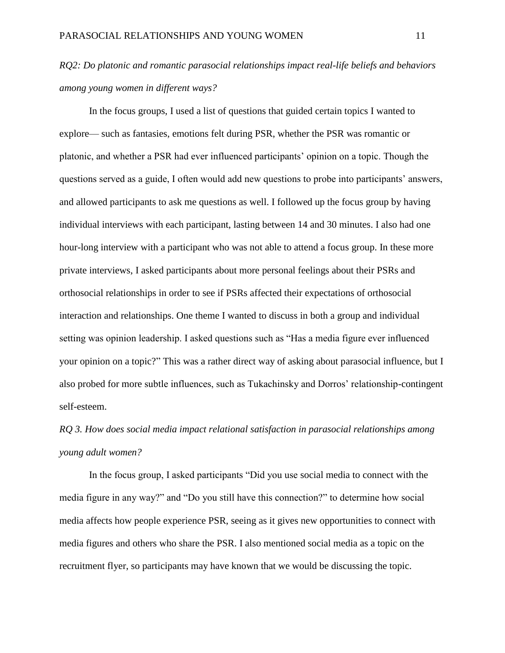### *RQ2: Do platonic and romantic parasocial relationships impact real-life beliefs and behaviors among young women in different ways?*

In the focus groups, I used a list of questions that guided certain topics I wanted to explore— such as fantasies, emotions felt during PSR, whether the PSR was romantic or platonic, and whether a PSR had ever influenced participants' opinion on a topic. Though the questions served as a guide, I often would add new questions to probe into participants' answers, and allowed participants to ask me questions as well. I followed up the focus group by having individual interviews with each participant, lasting between 14 and 30 minutes. I also had one hour-long interview with a participant who was not able to attend a focus group. In these more private interviews, I asked participants about more personal feelings about their PSRs and orthosocial relationships in order to see if PSRs affected their expectations of orthosocial interaction and relationships. One theme I wanted to discuss in both a group and individual setting was opinion leadership. I asked questions such as "Has a media figure ever influenced your opinion on a topic?" This was a rather direct way of asking about parasocial influence, but I also probed for more subtle influences, such as Tukachinsky and Dorros' relationship-contingent self-esteem.

## *RQ 3. How does social media impact relational satisfaction in parasocial relationships among young adult women?*

In the focus group, I asked participants "Did you use social media to connect with the media figure in any way?" and "Do you still have this connection?" to determine how social media affects how people experience PSR, seeing as it gives new opportunities to connect with media figures and others who share the PSR. I also mentioned social media as a topic on the recruitment flyer, so participants may have known that we would be discussing the topic.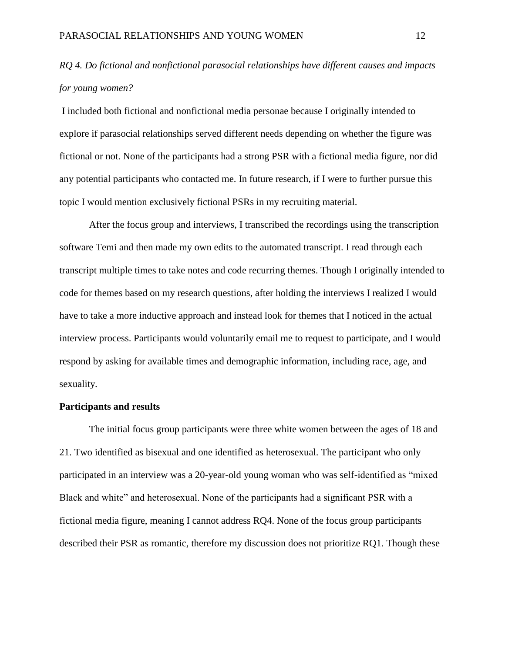### *RQ 4. Do fictional and nonfictional parasocial relationships have different causes and impacts for young women?*

I included both fictional and nonfictional media personae because I originally intended to explore if parasocial relationships served different needs depending on whether the figure was fictional or not. None of the participants had a strong PSR with a fictional media figure, nor did any potential participants who contacted me. In future research, if I were to further pursue this topic I would mention exclusively fictional PSRs in my recruiting material.

After the focus group and interviews, I transcribed the recordings using the transcription software Temi and then made my own edits to the automated transcript. I read through each transcript multiple times to take notes and code recurring themes. Though I originally intended to code for themes based on my research questions, after holding the interviews I realized I would have to take a more inductive approach and instead look for themes that I noticed in the actual interview process. Participants would voluntarily email me to request to participate, and I would respond by asking for available times and demographic information, including race, age, and sexuality.

#### **Participants and results**

The initial focus group participants were three white women between the ages of 18 and 21. Two identified as bisexual and one identified as heterosexual. The participant who only participated in an interview was a 20-year-old young woman who was self-identified as "mixed Black and white" and heterosexual. None of the participants had a significant PSR with a fictional media figure, meaning I cannot address RQ4. None of the focus group participants described their PSR as romantic, therefore my discussion does not prioritize RQ1. Though these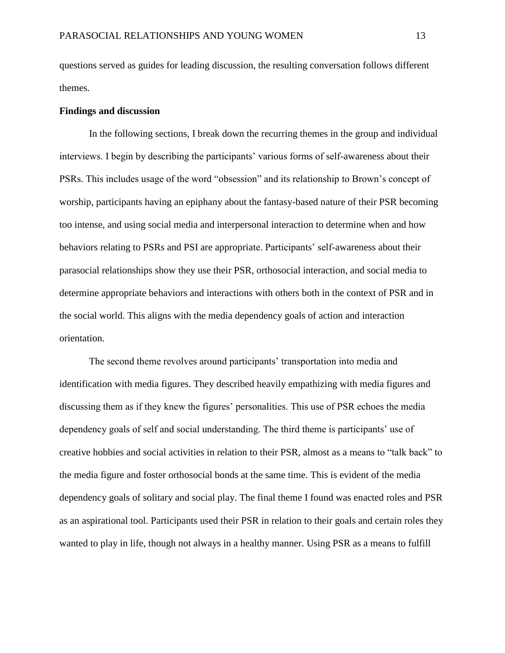questions served as guides for leading discussion, the resulting conversation follows different themes.

#### **Findings and discussion**

In the following sections, I break down the recurring themes in the group and individual interviews. I begin by describing the participants' various forms of self-awareness about their PSRs. This includes usage of the word "obsession" and its relationship to Brown's concept of worship, participants having an epiphany about the fantasy-based nature of their PSR becoming too intense, and using social media and interpersonal interaction to determine when and how behaviors relating to PSRs and PSI are appropriate. Participants' self-awareness about their parasocial relationships show they use their PSR, orthosocial interaction, and social media to determine appropriate behaviors and interactions with others both in the context of PSR and in the social world. This aligns with the media dependency goals of action and interaction orientation.

The second theme revolves around participants' transportation into media and identification with media figures. They described heavily empathizing with media figures and discussing them as if they knew the figures' personalities. This use of PSR echoes the media dependency goals of self and social understanding. The third theme is participants' use of creative hobbies and social activities in relation to their PSR, almost as a means to "talk back" to the media figure and foster orthosocial bonds at the same time. This is evident of the media dependency goals of solitary and social play. The final theme I found was enacted roles and PSR as an aspirational tool. Participants used their PSR in relation to their goals and certain roles they wanted to play in life, though not always in a healthy manner. Using PSR as a means to fulfill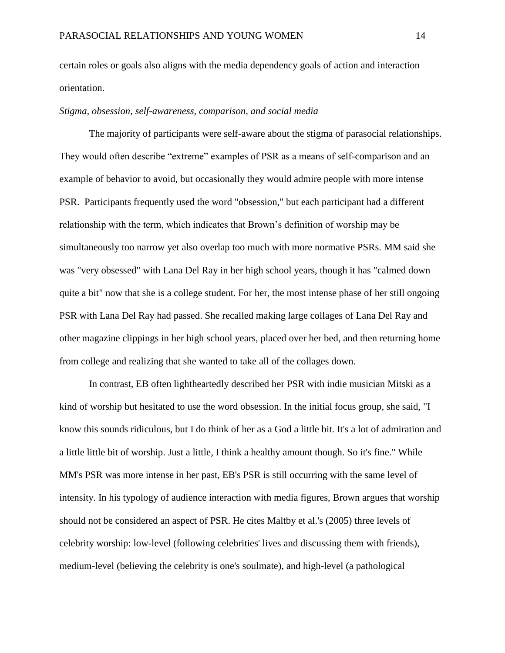certain roles or goals also aligns with the media dependency goals of action and interaction orientation.

#### *Stigma, obsession, self-awareness, comparison, and social media*

The majority of participants were self-aware about the stigma of parasocial relationships. They would often describe "extreme" examples of PSR as a means of self-comparison and an example of behavior to avoid, but occasionally they would admire people with more intense PSR. Participants frequently used the word "obsession," but each participant had a different relationship with the term, which indicates that Brown's definition of worship may be simultaneously too narrow yet also overlap too much with more normative PSRs. MM said she was "very obsessed" with Lana Del Ray in her high school years, though it has "calmed down quite a bit" now that she is a college student. For her, the most intense phase of her still ongoing PSR with Lana Del Ray had passed. She recalled making large collages of Lana Del Ray and other magazine clippings in her high school years, placed over her bed, and then returning home from college and realizing that she wanted to take all of the collages down.

In contrast, EB often lightheartedly described her PSR with indie musician Mitski as a kind of worship but hesitated to use the word obsession. In the initial focus group, she said, "I know this sounds ridiculous, but I do think of her as a God a little bit. It's a lot of admiration and a little little bit of worship. Just a little, I think a healthy amount though. So it's fine." While MM's PSR was more intense in her past, EB's PSR is still occurring with the same level of intensity. In his typology of audience interaction with media figures, Brown argues that worship should not be considered an aspect of PSR. He cites Maltby et al.'s (2005) three levels of celebrity worship: low-level (following celebrities' lives and discussing them with friends), medium-level (believing the celebrity is one's soulmate), and high-level (a pathological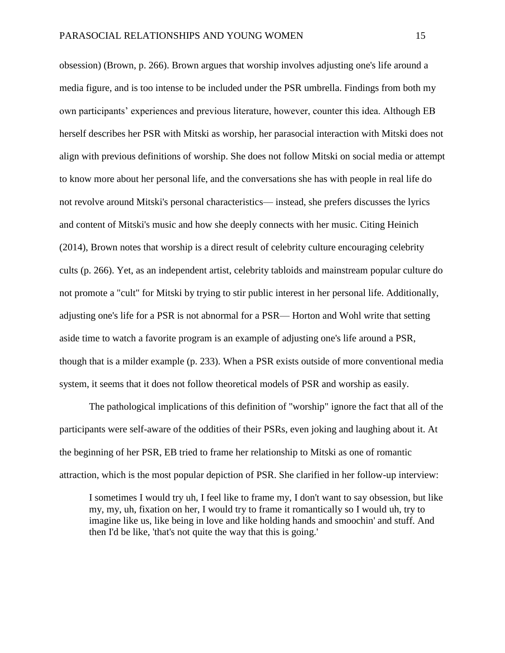obsession) (Brown, p. 266). Brown argues that worship involves adjusting one's life around a media figure, and is too intense to be included under the PSR umbrella. Findings from both my own participants' experiences and previous literature, however, counter this idea. Although EB herself describes her PSR with Mitski as worship, her parasocial interaction with Mitski does not align with previous definitions of worship. She does not follow Mitski on social media or attempt to know more about her personal life, and the conversations she has with people in real life do not revolve around Mitski's personal characteristics— instead, she prefers discusses the lyrics and content of Mitski's music and how she deeply connects with her music. Citing Heinich (2014), Brown notes that worship is a direct result of celebrity culture encouraging celebrity cults (p. 266). Yet, as an independent artist, celebrity tabloids and mainstream popular culture do not promote a "cult" for Mitski by trying to stir public interest in her personal life. Additionally, adjusting one's life for a PSR is not abnormal for a PSR— Horton and Wohl write that setting aside time to watch a favorite program is an example of adjusting one's life around a PSR, though that is a milder example (p. 233). When a PSR exists outside of more conventional media system, it seems that it does not follow theoretical models of PSR and worship as easily.

The pathological implications of this definition of "worship" ignore the fact that all of the participants were self-aware of the oddities of their PSRs, even joking and laughing about it. At the beginning of her PSR, EB tried to frame her relationship to Mitski as one of romantic attraction, which is the most popular depiction of PSR. She clarified in her follow-up interview:

I sometimes I would try uh, I feel like to frame my, I don't want to say obsession, but like my, my, uh, fixation on her, I would try to frame it romantically so I would uh, try to imagine like us, like being in love and like holding hands and smoochin' and stuff. And then I'd be like, 'that's not quite the way that this is going.'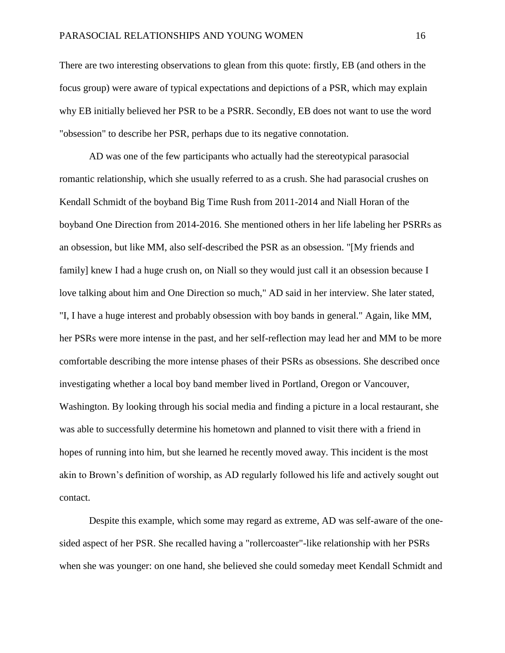There are two interesting observations to glean from this quote: firstly, EB (and others in the focus group) were aware of typical expectations and depictions of a PSR, which may explain why EB initially believed her PSR to be a PSRR. Secondly, EB does not want to use the word "obsession" to describe her PSR, perhaps due to its negative connotation.

AD was one of the few participants who actually had the stereotypical parasocial romantic relationship, which she usually referred to as a crush. She had parasocial crushes on Kendall Schmidt of the boyband Big Time Rush from 2011-2014 and Niall Horan of the boyband One Direction from 2014-2016. She mentioned others in her life labeling her PSRRs as an obsession, but like MM, also self-described the PSR as an obsession. "[My friends and family] knew I had a huge crush on, on Niall so they would just call it an obsession because I love talking about him and One Direction so much," AD said in her interview. She later stated, "I, I have a huge interest and probably obsession with boy bands in general." Again, like MM, her PSRs were more intense in the past, and her self-reflection may lead her and MM to be more comfortable describing the more intense phases of their PSRs as obsessions. She described once investigating whether a local boy band member lived in Portland, Oregon or Vancouver, Washington. By looking through his social media and finding a picture in a local restaurant, she was able to successfully determine his hometown and planned to visit there with a friend in hopes of running into him, but she learned he recently moved away. This incident is the most akin to Brown's definition of worship, as AD regularly followed his life and actively sought out contact.

Despite this example, which some may regard as extreme, AD was self-aware of the onesided aspect of her PSR. She recalled having a "rollercoaster"-like relationship with her PSRs when she was younger: on one hand, she believed she could someday meet Kendall Schmidt and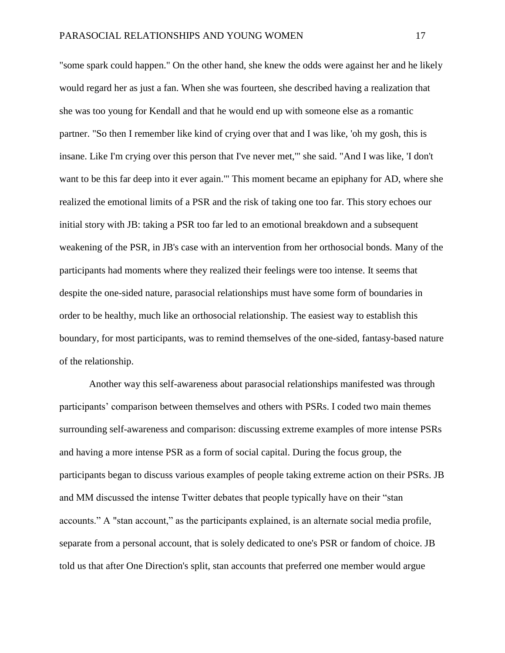"some spark could happen." On the other hand, she knew the odds were against her and he likely would regard her as just a fan. When she was fourteen, she described having a realization that she was too young for Kendall and that he would end up with someone else as a romantic partner. "So then I remember like kind of crying over that and I was like, 'oh my gosh, this is insane. Like I'm crying over this person that I've never met,'" she said. "And I was like, 'I don't want to be this far deep into it ever again." This moment became an epiphany for AD, where she realized the emotional limits of a PSR and the risk of taking one too far. This story echoes our initial story with JB: taking a PSR too far led to an emotional breakdown and a subsequent weakening of the PSR, in JB's case with an intervention from her orthosocial bonds. Many of the participants had moments where they realized their feelings were too intense. It seems that despite the one-sided nature, parasocial relationships must have some form of boundaries in order to be healthy, much like an orthosocial relationship. The easiest way to establish this boundary, for most participants, was to remind themselves of the one-sided, fantasy-based nature of the relationship.

Another way this self-awareness about parasocial relationships manifested was through participants' comparison between themselves and others with PSRs. I coded two main themes surrounding self-awareness and comparison: discussing extreme examples of more intense PSRs and having a more intense PSR as a form of social capital. During the focus group, the participants began to discuss various examples of people taking extreme action on their PSRs. JB and MM discussed the intense Twitter debates that people typically have on their "stan accounts." A "stan account," as the participants explained, is an alternate social media profile, separate from a personal account, that is solely dedicated to one's PSR or fandom of choice. JB told us that after One Direction's split, stan accounts that preferred one member would argue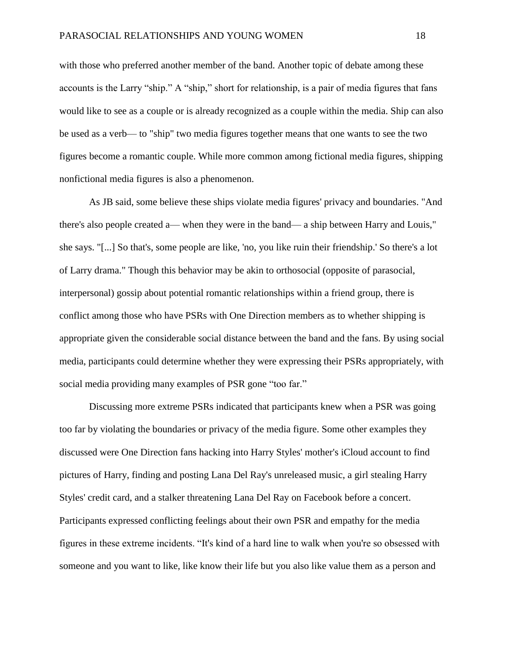with those who preferred another member of the band. Another topic of debate among these accounts is the Larry "ship." A "ship," short for relationship, is a pair of media figures that fans would like to see as a couple or is already recognized as a couple within the media. Ship can also be used as a verb— to "ship" two media figures together means that one wants to see the two figures become a romantic couple. While more common among fictional media figures, shipping nonfictional media figures is also a phenomenon.

As JB said, some believe these ships violate media figures' privacy and boundaries. "And there's also people created a— when they were in the band— a ship between Harry and Louis," she says. "[...] So that's, some people are like, 'no, you like ruin their friendship.' So there's a lot of Larry drama." Though this behavior may be akin to orthosocial (opposite of parasocial, interpersonal) gossip about potential romantic relationships within a friend group, there is conflict among those who have PSRs with One Direction members as to whether shipping is appropriate given the considerable social distance between the band and the fans. By using social media, participants could determine whether they were expressing their PSRs appropriately, with social media providing many examples of PSR gone "too far."

Discussing more extreme PSRs indicated that participants knew when a PSR was going too far by violating the boundaries or privacy of the media figure. Some other examples they discussed were One Direction fans hacking into Harry Styles' mother's iCloud account to find pictures of Harry, finding and posting Lana Del Ray's unreleased music, a girl stealing Harry Styles' credit card, and a stalker threatening Lana Del Ray on Facebook before a concert. Participants expressed conflicting feelings about their own PSR and empathy for the media figures in these extreme incidents. "It's kind of a hard line to walk when you're so obsessed with someone and you want to like, like know their life but you also like value them as a person and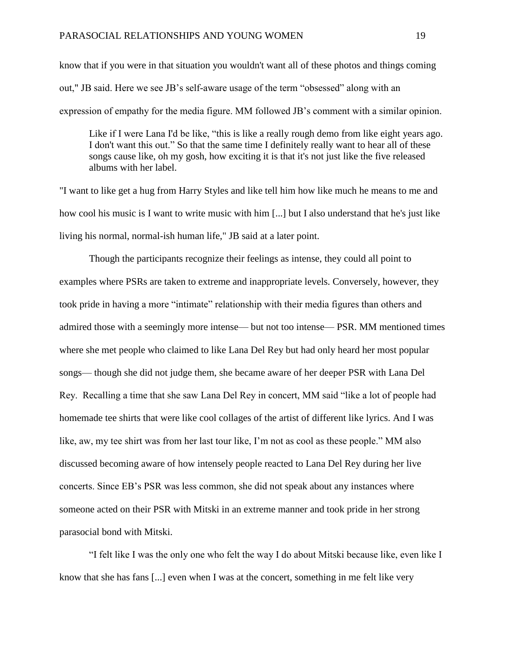know that if you were in that situation you wouldn't want all of these photos and things coming out," JB said. Here we see JB's self-aware usage of the term "obsessed" along with an expression of empathy for the media figure. MM followed JB's comment with a similar opinion.

Like if I were Lana I'd be like, "this is like a really rough demo from like eight years ago. I don't want this out." So that the same time I definitely really want to hear all of these songs cause like, oh my gosh, how exciting it is that it's not just like the five released albums with her label.

"I want to like get a hug from Harry Styles and like tell him how like much he means to me and how cool his music is I want to write music with him [...] but I also understand that he's just like living his normal, normal-ish human life," JB said at a later point.

Though the participants recognize their feelings as intense, they could all point to examples where PSRs are taken to extreme and inappropriate levels. Conversely, however, they took pride in having a more "intimate" relationship with their media figures than others and admired those with a seemingly more intense— but not too intense— PSR. MM mentioned times where she met people who claimed to like Lana Del Rey but had only heard her most popular songs— though she did not judge them, she became aware of her deeper PSR with Lana Del Rey. Recalling a time that she saw Lana Del Rey in concert, MM said "like a lot of people had homemade tee shirts that were like cool collages of the artist of different like lyrics. And I was like, aw, my tee shirt was from her last tour like, I'm not as cool as these people." MM also discussed becoming aware of how intensely people reacted to Lana Del Rey during her live concerts. Since EB's PSR was less common, she did not speak about any instances where someone acted on their PSR with Mitski in an extreme manner and took pride in her strong parasocial bond with Mitski.

"I felt like I was the only one who felt the way I do about Mitski because like, even like I know that she has fans [...] even when I was at the concert, something in me felt like very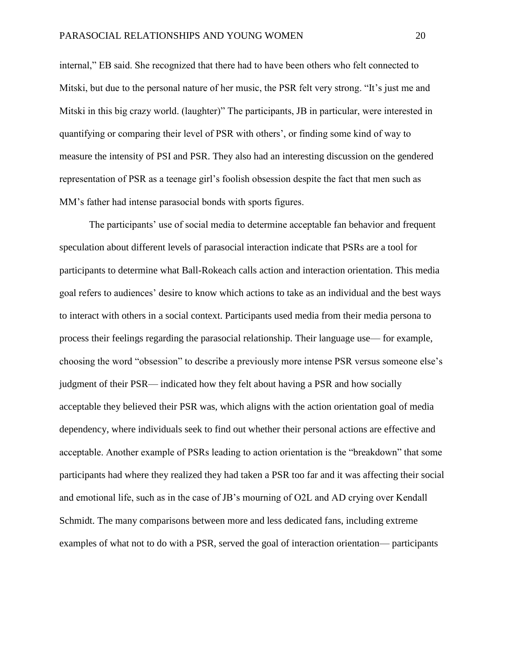internal," EB said. She recognized that there had to have been others who felt connected to Mitski, but due to the personal nature of her music, the PSR felt very strong. "It's just me and Mitski in this big crazy world. (laughter)" The participants, JB in particular, were interested in quantifying or comparing their level of PSR with others', or finding some kind of way to measure the intensity of PSI and PSR. They also had an interesting discussion on the gendered representation of PSR as a teenage girl's foolish obsession despite the fact that men such as MM's father had intense parasocial bonds with sports figures.

The participants' use of social media to determine acceptable fan behavior and frequent speculation about different levels of parasocial interaction indicate that PSRs are a tool for participants to determine what Ball-Rokeach calls action and interaction orientation. This media goal refers to audiences' desire to know which actions to take as an individual and the best ways to interact with others in a social context. Participants used media from their media persona to process their feelings regarding the parasocial relationship. Their language use— for example, choosing the word "obsession" to describe a previously more intense PSR versus someone else's judgment of their PSR— indicated how they felt about having a PSR and how socially acceptable they believed their PSR was, which aligns with the action orientation goal of media dependency, where individuals seek to find out whether their personal actions are effective and acceptable. Another example of PSRs leading to action orientation is the "breakdown" that some participants had where they realized they had taken a PSR too far and it was affecting their social and emotional life, such as in the case of JB's mourning of O2L and AD crying over Kendall Schmidt. The many comparisons between more and less dedicated fans, including extreme examples of what not to do with a PSR, served the goal of interaction orientation— participants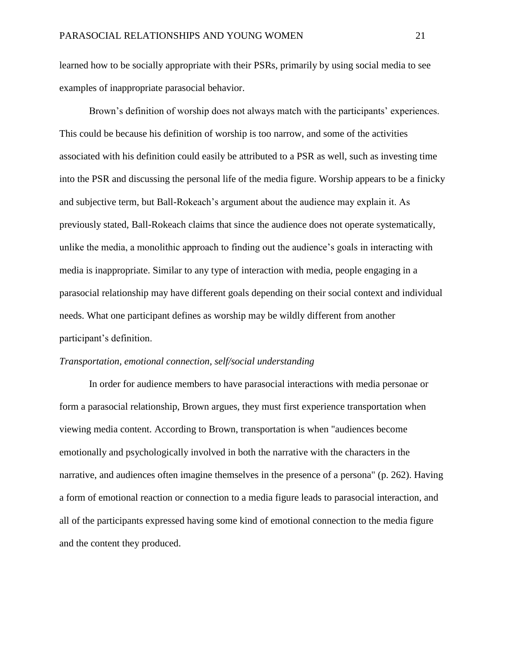learned how to be socially appropriate with their PSRs, primarily by using social media to see examples of inappropriate parasocial behavior.

Brown's definition of worship does not always match with the participants' experiences. This could be because his definition of worship is too narrow, and some of the activities associated with his definition could easily be attributed to a PSR as well, such as investing time into the PSR and discussing the personal life of the media figure. Worship appears to be a finicky and subjective term, but Ball-Rokeach's argument about the audience may explain it. As previously stated, Ball-Rokeach claims that since the audience does not operate systematically, unlike the media, a monolithic approach to finding out the audience's goals in interacting with media is inappropriate. Similar to any type of interaction with media, people engaging in a parasocial relationship may have different goals depending on their social context and individual needs. What one participant defines as worship may be wildly different from another participant's definition.

#### *Transportation, emotional connection, self/social understanding*

In order for audience members to have parasocial interactions with media personae or form a parasocial relationship, Brown argues, they must first experience transportation when viewing media content. According to Brown, transportation is when "audiences become emotionally and psychologically involved in both the narrative with the characters in the narrative, and audiences often imagine themselves in the presence of a persona" (p. 262). Having a form of emotional reaction or connection to a media figure leads to parasocial interaction, and all of the participants expressed having some kind of emotional connection to the media figure and the content they produced.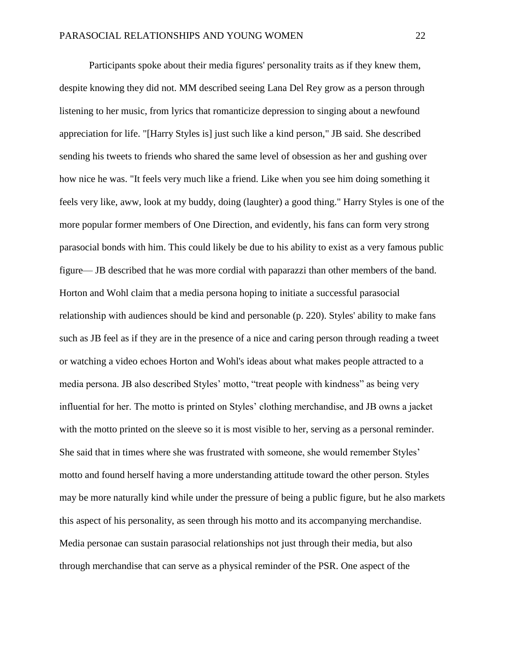Participants spoke about their media figures' personality traits as if they knew them, despite knowing they did not. MM described seeing Lana Del Rey grow as a person through listening to her music, from lyrics that romanticize depression to singing about a newfound appreciation for life. "[Harry Styles is] just such like a kind person," JB said. She described sending his tweets to friends who shared the same level of obsession as her and gushing over how nice he was. "It feels very much like a friend. Like when you see him doing something it feels very like, aww, look at my buddy, doing (laughter) a good thing." Harry Styles is one of the more popular former members of One Direction, and evidently, his fans can form very strong parasocial bonds with him. This could likely be due to his ability to exist as a very famous public figure— JB described that he was more cordial with paparazzi than other members of the band. Horton and Wohl claim that a media persona hoping to initiate a successful parasocial relationship with audiences should be kind and personable (p. 220). Styles' ability to make fans such as JB feel as if they are in the presence of a nice and caring person through reading a tweet or watching a video echoes Horton and Wohl's ideas about what makes people attracted to a media persona. JB also described Styles' motto, "treat people with kindness" as being very influential for her. The motto is printed on Styles' clothing merchandise, and JB owns a jacket with the motto printed on the sleeve so it is most visible to her, serving as a personal reminder. She said that in times where she was frustrated with someone, she would remember Styles' motto and found herself having a more understanding attitude toward the other person. Styles may be more naturally kind while under the pressure of being a public figure, but he also markets this aspect of his personality, as seen through his motto and its accompanying merchandise. Media personae can sustain parasocial relationships not just through their media, but also through merchandise that can serve as a physical reminder of the PSR. One aspect of the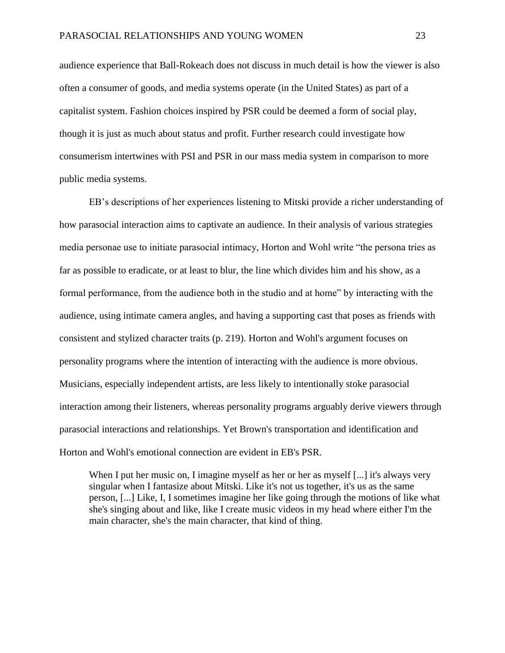audience experience that Ball-Rokeach does not discuss in much detail is how the viewer is also often a consumer of goods, and media systems operate (in the United States) as part of a capitalist system. Fashion choices inspired by PSR could be deemed a form of social play, though it is just as much about status and profit. Further research could investigate how consumerism intertwines with PSI and PSR in our mass media system in comparison to more public media systems.

EB's descriptions of her experiences listening to Mitski provide a richer understanding of how parasocial interaction aims to captivate an audience. In their analysis of various strategies media personae use to initiate parasocial intimacy, Horton and Wohl write "the persona tries as far as possible to eradicate, or at least to blur, the line which divides him and his show, as a formal performance, from the audience both in the studio and at home" by interacting with the audience, using intimate camera angles, and having a supporting cast that poses as friends with consistent and stylized character traits (p. 219). Horton and Wohl's argument focuses on personality programs where the intention of interacting with the audience is more obvious. Musicians, especially independent artists, are less likely to intentionally stoke parasocial interaction among their listeners, whereas personality programs arguably derive viewers through parasocial interactions and relationships. Yet Brown's transportation and identification and Horton and Wohl's emotional connection are evident in EB's PSR.

When I put her music on, I imagine myself as her or her as myself [...] it's always very singular when I fantasize about Mitski. Like it's not us together, it's us as the same person, [...] Like, I, I sometimes imagine her like going through the motions of like what she's singing about and like, like I create music videos in my head where either I'm the main character, she's the main character, that kind of thing.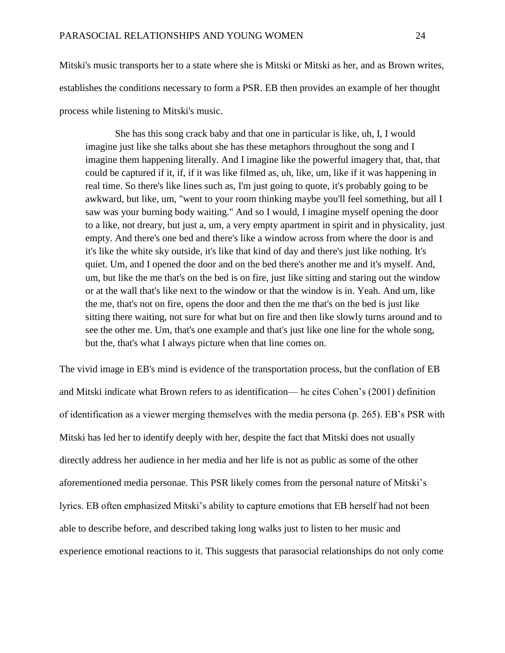Mitski's music transports her to a state where she is Mitski or Mitski as her, and as Brown writes, establishes the conditions necessary to form a PSR. EB then provides an example of her thought process while listening to Mitski's music.

She has this song crack baby and that one in particular is like, uh, I, I would imagine just like she talks about she has these metaphors throughout the song and I imagine them happening literally. And I imagine like the powerful imagery that, that, that could be captured if it, if, if it was like filmed as, uh, like, um, like if it was happening in real time. So there's like lines such as, I'm just going to quote, it's probably going to be awkward, but like, um, "went to your room thinking maybe you'll feel something, but all I saw was your burning body waiting." And so I would, I imagine myself opening the door to a like, not dreary, but just a, um, a very empty apartment in spirit and in physicality, just empty. And there's one bed and there's like a window across from where the door is and it's like the white sky outside, it's like that kind of day and there's just like nothing. It's quiet. Um, and I opened the door and on the bed there's another me and it's myself. And, um, but like the me that's on the bed is on fire, just like sitting and staring out the window or at the wall that's like next to the window or that the window is in. Yeah. And um, like the me, that's not on fire, opens the door and then the me that's on the bed is just like sitting there waiting, not sure for what but on fire and then like slowly turns around and to see the other me. Um, that's one example and that's just like one line for the whole song, but the, that's what I always picture when that line comes on.

The vivid image in EB's mind is evidence of the transportation process, but the conflation of EB and Mitski indicate what Brown refers to as identification— he cites Cohen's (2001) definition of identification as a viewer merging themselves with the media persona (p. 265). EB's PSR with Mitski has led her to identify deeply with her, despite the fact that Mitski does not usually directly address her audience in her media and her life is not as public as some of the other aforementioned media personae. This PSR likely comes from the personal nature of Mitski's lyrics. EB often emphasized Mitski's ability to capture emotions that EB herself had not been able to describe before, and described taking long walks just to listen to her music and experience emotional reactions to it. This suggests that parasocial relationships do not only come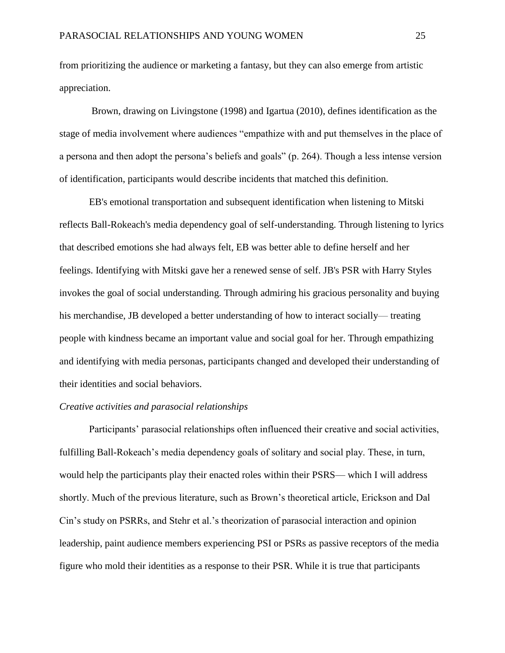from prioritizing the audience or marketing a fantasy, but they can also emerge from artistic appreciation.

Brown, drawing on Livingstone (1998) and Igartua (2010), defines identification as the stage of media involvement where audiences "empathize with and put themselves in the place of a persona and then adopt the persona's beliefs and goals" (p. 264). Though a less intense version of identification, participants would describe incidents that matched this definition.

EB's emotional transportation and subsequent identification when listening to Mitski reflects Ball-Rokeach's media dependency goal of self-understanding. Through listening to lyrics that described emotions she had always felt, EB was better able to define herself and her feelings. Identifying with Mitski gave her a renewed sense of self. JB's PSR with Harry Styles invokes the goal of social understanding. Through admiring his gracious personality and buying his merchandise, JB developed a better understanding of how to interact socially— treating people with kindness became an important value and social goal for her. Through empathizing and identifying with media personas, participants changed and developed their understanding of their identities and social behaviors.

#### *Creative activities and parasocial relationships*

Participants' parasocial relationships often influenced their creative and social activities, fulfilling Ball-Rokeach's media dependency goals of solitary and social play. These, in turn, would help the participants play their enacted roles within their PSRS— which I will address shortly. Much of the previous literature, such as Brown's theoretical article, Erickson and Dal Cin's study on PSRRs, and Stehr et al.'s theorization of parasocial interaction and opinion leadership, paint audience members experiencing PSI or PSRs as passive receptors of the media figure who mold their identities as a response to their PSR. While it is true that participants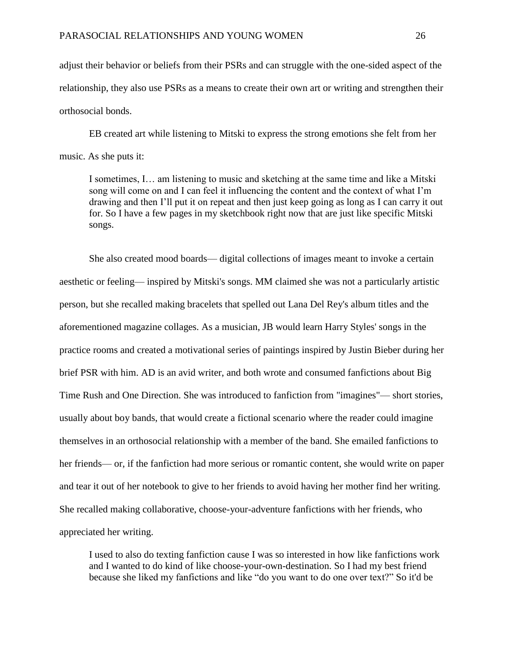adjust their behavior or beliefs from their PSRs and can struggle with the one-sided aspect of the relationship, they also use PSRs as a means to create their own art or writing and strengthen their orthosocial bonds.

EB created art while listening to Mitski to express the strong emotions she felt from her music. As she puts it:

I sometimes, I… am listening to music and sketching at the same time and like a Mitski song will come on and I can feel it influencing the content and the context of what I'm drawing and then I'll put it on repeat and then just keep going as long as I can carry it out for. So I have a few pages in my sketchbook right now that are just like specific Mitski songs.

She also created mood boards— digital collections of images meant to invoke a certain aesthetic or feeling— inspired by Mitski's songs. MM claimed she was not a particularly artistic person, but she recalled making bracelets that spelled out Lana Del Rey's album titles and the aforementioned magazine collages. As a musician, JB would learn Harry Styles' songs in the practice rooms and created a motivational series of paintings inspired by Justin Bieber during her brief PSR with him. AD is an avid writer, and both wrote and consumed fanfictions about Big Time Rush and One Direction. She was introduced to fanfiction from "imagines"— short stories, usually about boy bands, that would create a fictional scenario where the reader could imagine themselves in an orthosocial relationship with a member of the band. She emailed fanfictions to her friends— or, if the fanfiction had more serious or romantic content, she would write on paper and tear it out of her notebook to give to her friends to avoid having her mother find her writing. She recalled making collaborative, choose-your-adventure fanfictions with her friends, who appreciated her writing.

I used to also do texting fanfiction cause I was so interested in how like fanfictions work and I wanted to do kind of like choose-your-own-destination. So I had my best friend because she liked my fanfictions and like "do you want to do one over text?" So it'd be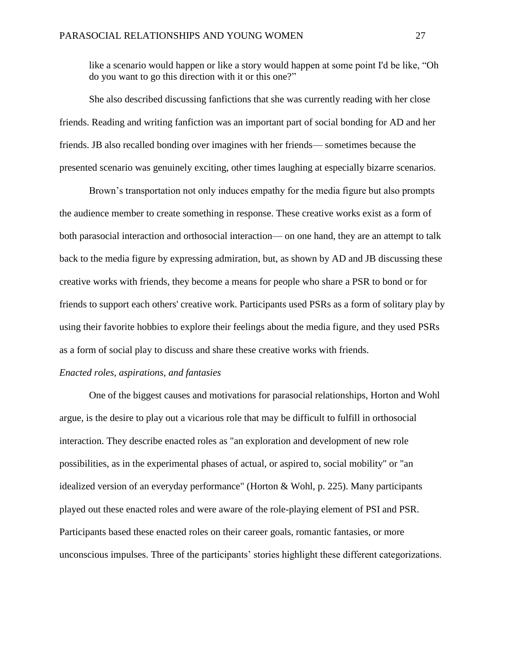like a scenario would happen or like a story would happen at some point I'd be like, "Oh do you want to go this direction with it or this one?"

She also described discussing fanfictions that she was currently reading with her close friends. Reading and writing fanfiction was an important part of social bonding for AD and her friends. JB also recalled bonding over imagines with her friends— sometimes because the presented scenario was genuinely exciting, other times laughing at especially bizarre scenarios.

Brown's transportation not only induces empathy for the media figure but also prompts the audience member to create something in response. These creative works exist as a form of both parasocial interaction and orthosocial interaction— on one hand, they are an attempt to talk back to the media figure by expressing admiration, but, as shown by AD and JB discussing these creative works with friends, they become a means for people who share a PSR to bond or for friends to support each others' creative work. Participants used PSRs as a form of solitary play by using their favorite hobbies to explore their feelings about the media figure, and they used PSRs as a form of social play to discuss and share these creative works with friends.

#### *Enacted roles, aspirations, and fantasies*

One of the biggest causes and motivations for parasocial relationships, Horton and Wohl argue, is the desire to play out a vicarious role that may be difficult to fulfill in orthosocial interaction. They describe enacted roles as "an exploration and development of new role possibilities, as in the experimental phases of actual, or aspired to, social mobility" or "an idealized version of an everyday performance" (Horton & Wohl, p. 225). Many participants played out these enacted roles and were aware of the role-playing element of PSI and PSR. Participants based these enacted roles on their career goals, romantic fantasies, or more unconscious impulses. Three of the participants' stories highlight these different categorizations.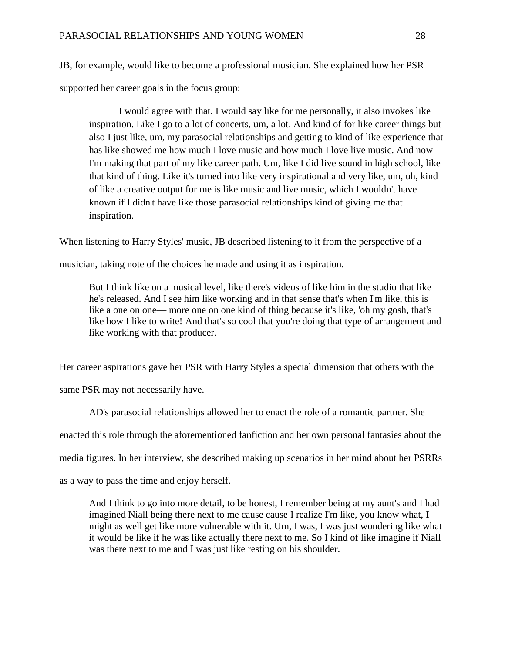JB, for example, would like to become a professional musician. She explained how her PSR supported her career goals in the focus group:

I would agree with that. I would say like for me personally, it also invokes like inspiration. Like I go to a lot of concerts, um, a lot. And kind of for like career things but also I just like, um, my parasocial relationships and getting to kind of like experience that has like showed me how much I love music and how much I love live music. And now I'm making that part of my like career path. Um, like I did live sound in high school, like that kind of thing. Like it's turned into like very inspirational and very like, um, uh, kind of like a creative output for me is like music and live music, which I wouldn't have known if I didn't have like those parasocial relationships kind of giving me that inspiration.

When listening to Harry Styles' music, JB described listening to it from the perspective of a

musician, taking note of the choices he made and using it as inspiration.

But I think like on a musical level, like there's videos of like him in the studio that like he's released. And I see him like working and in that sense that's when I'm like, this is like a one on one— more one on one kind of thing because it's like, 'oh my gosh, that's like how I like to write! And that's so cool that you're doing that type of arrangement and like working with that producer.

Her career aspirations gave her PSR with Harry Styles a special dimension that others with the

same PSR may not necessarily have.

AD's parasocial relationships allowed her to enact the role of a romantic partner. She

enacted this role through the aforementioned fanfiction and her own personal fantasies about the

media figures. In her interview, she described making up scenarios in her mind about her PSRRs

as a way to pass the time and enjoy herself.

And I think to go into more detail, to be honest, I remember being at my aunt's and I had imagined Niall being there next to me cause cause I realize I'm like, you know what, I might as well get like more vulnerable with it. Um, I was, I was just wondering like what it would be like if he was like actually there next to me. So I kind of like imagine if Niall was there next to me and I was just like resting on his shoulder.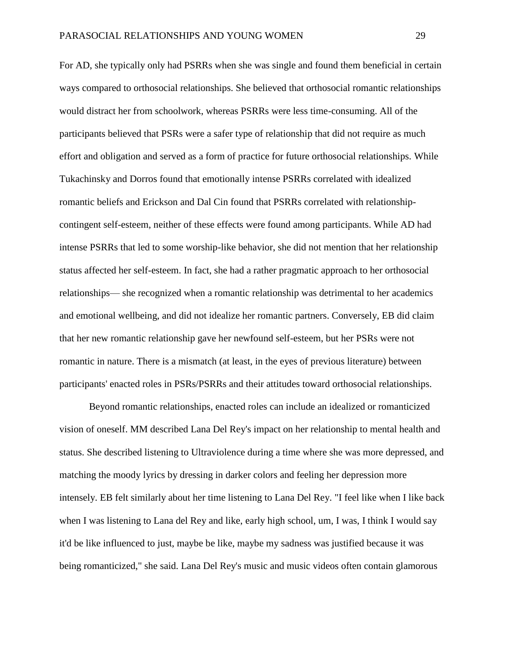For AD, she typically only had PSRRs when she was single and found them beneficial in certain ways compared to orthosocial relationships. She believed that orthosocial romantic relationships would distract her from schoolwork, whereas PSRRs were less time-consuming. All of the participants believed that PSRs were a safer type of relationship that did not require as much effort and obligation and served as a form of practice for future orthosocial relationships. While Tukachinsky and Dorros found that emotionally intense PSRRs correlated with idealized romantic beliefs and Erickson and Dal Cin found that PSRRs correlated with relationshipcontingent self-esteem, neither of these effects were found among participants. While AD had intense PSRRs that led to some worship-like behavior, she did not mention that her relationship status affected her self-esteem. In fact, she had a rather pragmatic approach to her orthosocial relationships— she recognized when a romantic relationship was detrimental to her academics and emotional wellbeing, and did not idealize her romantic partners. Conversely, EB did claim that her new romantic relationship gave her newfound self-esteem, but her PSRs were not romantic in nature. There is a mismatch (at least, in the eyes of previous literature) between participants' enacted roles in PSRs/PSRRs and their attitudes toward orthosocial relationships.

Beyond romantic relationships, enacted roles can include an idealized or romanticized vision of oneself. MM described Lana Del Rey's impact on her relationship to mental health and status. She described listening to Ultraviolence during a time where she was more depressed, and matching the moody lyrics by dressing in darker colors and feeling her depression more intensely. EB felt similarly about her time listening to Lana Del Rey. "I feel like when I like back when I was listening to Lana del Rey and like, early high school, um, I was, I think I would say it'd be like influenced to just, maybe be like, maybe my sadness was justified because it was being romanticized," she said. Lana Del Rey's music and music videos often contain glamorous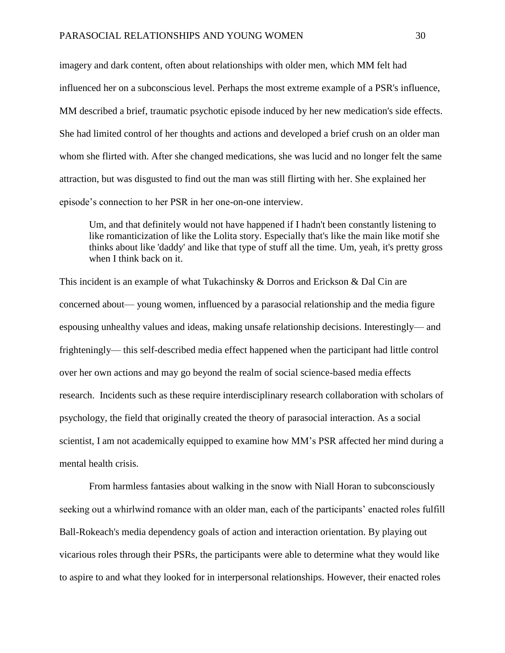imagery and dark content, often about relationships with older men, which MM felt had influenced her on a subconscious level. Perhaps the most extreme example of a PSR's influence, MM described a brief, traumatic psychotic episode induced by her new medication's side effects. She had limited control of her thoughts and actions and developed a brief crush on an older man whom she flirted with. After she changed medications, she was lucid and no longer felt the same attraction, but was disgusted to find out the man was still flirting with her. She explained her episode's connection to her PSR in her one-on-one interview.

Um, and that definitely would not have happened if I hadn't been constantly listening to like romanticization of like the Lolita story. Especially that's like the main like motif she thinks about like 'daddy' and like that type of stuff all the time. Um, yeah, it's pretty gross when I think back on it.

This incident is an example of what Tukachinsky & Dorros and Erickson & Dal Cin are concerned about— young women, influenced by a parasocial relationship and the media figure espousing unhealthy values and ideas, making unsafe relationship decisions. Interestingly— and frighteningly— this self-described media effect happened when the participant had little control over her own actions and may go beyond the realm of social science-based media effects research. Incidents such as these require interdisciplinary research collaboration with scholars of psychology, the field that originally created the theory of parasocial interaction. As a social scientist, I am not academically equipped to examine how MM's PSR affected her mind during a mental health crisis.

From harmless fantasies about walking in the snow with Niall Horan to subconsciously seeking out a whirlwind romance with an older man, each of the participants' enacted roles fulfill Ball-Rokeach's media dependency goals of action and interaction orientation. By playing out vicarious roles through their PSRs, the participants were able to determine what they would like to aspire to and what they looked for in interpersonal relationships. However, their enacted roles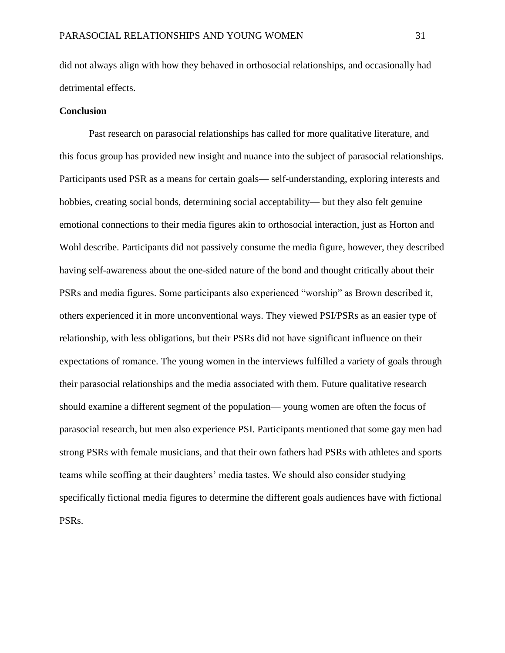did not always align with how they behaved in orthosocial relationships, and occasionally had detrimental effects.

#### **Conclusion**

Past research on parasocial relationships has called for more qualitative literature, and this focus group has provided new insight and nuance into the subject of parasocial relationships. Participants used PSR as a means for certain goals— self-understanding, exploring interests and hobbies, creating social bonds, determining social acceptability— but they also felt genuine emotional connections to their media figures akin to orthosocial interaction, just as Horton and Wohl describe. Participants did not passively consume the media figure, however, they described having self-awareness about the one-sided nature of the bond and thought critically about their PSRs and media figures. Some participants also experienced "worship" as Brown described it, others experienced it in more unconventional ways. They viewed PSI/PSRs as an easier type of relationship, with less obligations, but their PSRs did not have significant influence on their expectations of romance. The young women in the interviews fulfilled a variety of goals through their parasocial relationships and the media associated with them. Future qualitative research should examine a different segment of the population— young women are often the focus of parasocial research, but men also experience PSI. Participants mentioned that some gay men had strong PSRs with female musicians, and that their own fathers had PSRs with athletes and sports teams while scoffing at their daughters' media tastes. We should also consider studying specifically fictional media figures to determine the different goals audiences have with fictional PSRs.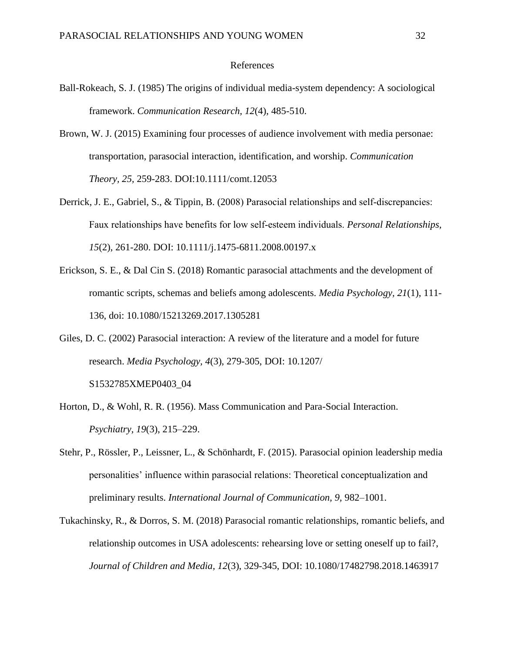#### References

- Ball-Rokeach, S. J. (1985) The origins of individual media-system dependency: A sociological framework. *Communication Research, 12*(4), 485-510.
- Brown, W. J. (2015) Examining four processes of audience involvement with media personae: transportation, parasocial interaction, identification, and worship. *Communication Theory, 25,* 259-283. DOI:10.1111/comt.12053
- Derrick, J. E., Gabriel, S., & Tippin, B. (2008) Parasocial relationships and self-discrepancies: Faux relationships have benefits for low self‐esteem individuals. *Personal Relationships, 15*(2), 261-280. DOI: 10.1111/j.1475-6811.2008.00197.x
- Erickson, S. E., & Dal Cin S. (2018) Romantic parasocial attachments and the development of romantic scripts, schemas and beliefs among adolescents. *Media Psychology, 21*(1), 111- 136, doi: 10.1080/15213269.2017.1305281
- Giles, D. C. (2002) Parasocial interaction: A review of the literature and a model for future research. *Media Psychology, 4*(3), 279-305, DOI: 10.1207/ S1532785XMEP0403\_04
- Horton, D., & Wohl, R. R. (1956). Mass Communication and Para-Social Interaction. *Psychiatry, 19*(3), 215–229.
- Stehr, P., Rössler, P., Leissner, L., & Schönhardt, F. (2015). Parasocial opinion leadership media personalities' influence within parasocial relations: Theoretical conceptualization and preliminary results. *International Journal of Communication, 9,* 982–1001.
- Tukachinsky, R., & Dorros, S. M. (2018) Parasocial romantic relationships, romantic beliefs, and relationship outcomes in USA adolescents: rehearsing love or setting oneself up to fail?, *Journal of Children and Media, 12*(3), 329-345, DOI: 10.1080/17482798.2018.1463917